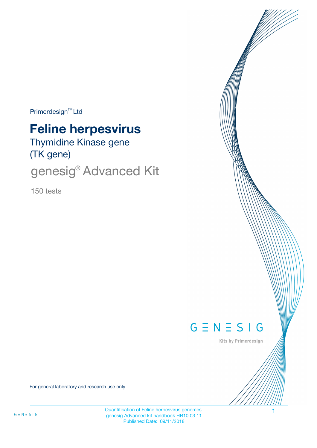$Primerdesign^{\text{TM}}$ Ltd

# **Feline herpesvirus**

Thymidine Kinase gene (TK gene)

genesig® Advanced Kit

150 tests



Kits by Primerdesign

For general laboratory and research use only

Quantification of Feline herpesvirus genomes. genesig Advanced kit handbook HB10.03.11 Published Date: 09/11/2018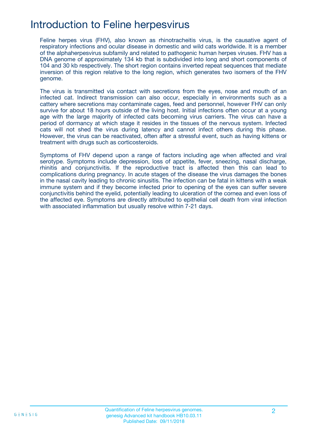## Introduction to Feline herpesvirus

Feline herpes virus (FHV), also known as rhinotracheitis virus, is the causative agent of respiratory infections and ocular disease in domestic and wild cats worldwide. It is a member of the alphaherpesvirus subfamily and related to pathogenic human herpes viruses. FHV has a DNA genome of approximately 134 kb that is subdivided into long and short components of 104 and 30 kb respectively. The short region contains inverted repeat sequences that mediate inversion of this region relative to the long region, which generates two isomers of the FHV genome.

The virus is transmitted via contact with secretions from the eyes, nose and mouth of an infected cat. Indirect transmission can also occur, especially in environments such as a cattery where secretions may contaminate cages, feed and personnel, however FHV can only survive for about 18 hours outside of the living host. Initial infections often occur at a young age with the large majority of infected cats becoming virus carriers. The virus can have a period of dormancy at which stage it resides in the tissues of the nervous system. Infected cats will not shed the virus during latency and cannot infect others during this phase. However, the virus can be reactivated, often after a stressful event, such as having kittens or treatment with drugs such as corticosteroids.

Symptoms of FHV depend upon a range of factors including age when affected and viral serotype. Symptoms include depression, loss of appetite, fever, sneezing, nasal discharge, rhinitis and conjunctivitis. If the reproductive tract is affected then this can lead to complications during pregnancy. In acute stages of the disease the virus damages the bones in the nasal cavity leading to chronic sinusitis. The infection can be fatal in kittens with a weak immune system and if they become infected prior to opening of the eyes can suffer severe conjunctivitis behind the eyelid, potentially leading to ulceration of the cornea and even loss of the affected eye. Symptoms are directly attributed to epithelial cell death from viral infection with associated inflammation but usually resolve within 7-21 days.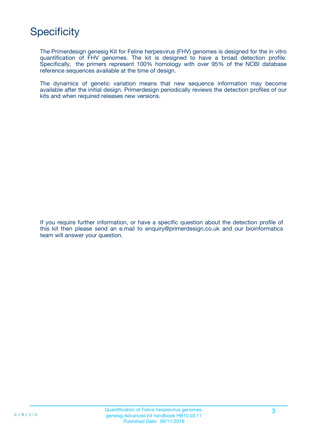# **Specificity**

The Primerdesign genesig Kit for Feline herpesvirus (FHV) genomes is designed for the in vitro quantification of FHV genomes. The kit is designed to have a broad detection profile. Specifically, the primers represent 100% homology with over 95% of the NCBI database reference sequences available at the time of design.

The dynamics of genetic variation means that new sequence information may become available after the initial design. Primerdesign periodically reviews the detection profiles of our kits and when required releases new versions.

If you require further information, or have a specific question about the detection profile of this kit then please send an e.mail to enquiry@primerdesign.co.uk and our bioinformatics team will answer your question.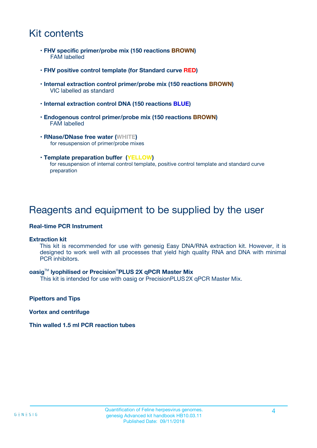# Kit contents

- **FHV specific primer/probe mix (150 reactions BROWN)** FAM labelled
- **FHV positive control template (for Standard curve RED)**
- **Internal extraction control primer/probe mix (150 reactions BROWN)** VIC labelled as standard
- **Internal extraction control DNA (150 reactions BLUE)**
- **Endogenous control primer/probe mix (150 reactions BROWN)** FAM labelled
- **RNase/DNase free water (WHITE)** for resuspension of primer/probe mixes
- **Template preparation buffer (YELLOW)** for resuspension of internal control template, positive control template and standard curve preparation

### Reagents and equipment to be supplied by the user

#### **Real-time PCR Instrument**

#### **Extraction kit**

This kit is recommended for use with genesig Easy DNA/RNA extraction kit. However, it is designed to work well with all processes that yield high quality RNA and DNA with minimal PCR inhibitors.

#### **oasig**TM **lyophilised or Precision**®**PLUS 2X qPCR Master Mix**

This kit is intended for use with oasig or PrecisionPLUS2X qPCR Master Mix.

**Pipettors and Tips**

**Vortex and centrifuge**

#### **Thin walled 1.5 ml PCR reaction tubes**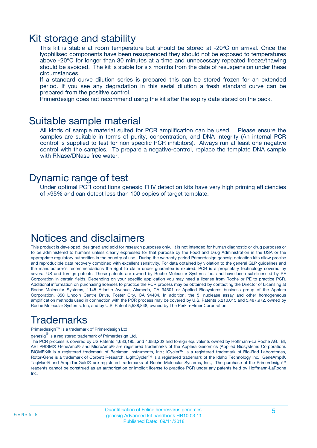### Kit storage and stability

This kit is stable at room temperature but should be stored at -20ºC on arrival. Once the lyophilised components have been resuspended they should not be exposed to temperatures above -20°C for longer than 30 minutes at a time and unnecessary repeated freeze/thawing should be avoided. The kit is stable for six months from the date of resuspension under these circumstances.

If a standard curve dilution series is prepared this can be stored frozen for an extended period. If you see any degradation in this serial dilution a fresh standard curve can be prepared from the positive control.

Primerdesign does not recommend using the kit after the expiry date stated on the pack.

### Suitable sample material

All kinds of sample material suited for PCR amplification can be used. Please ensure the samples are suitable in terms of purity, concentration, and DNA integrity (An internal PCR control is supplied to test for non specific PCR inhibitors). Always run at least one negative control with the samples. To prepare a negative-control, replace the template DNA sample with RNase/DNase free water.

### Dynamic range of test

Under optimal PCR conditions genesig FHV detection kits have very high priming efficiencies of >95% and can detect less than 100 copies of target template.

### Notices and disclaimers

This product is developed, designed and sold for research purposes only. It is not intended for human diagnostic or drug purposes or to be administered to humans unless clearly expressed for that purpose by the Food and Drug Administration in the USA or the appropriate regulatory authorities in the country of use. During the warranty period Primerdesign genesig detection kits allow precise and reproducible data recovery combined with excellent sensitivity. For data obtained by violation to the general GLP guidelines and the manufacturer's recommendations the right to claim under guarantee is expired. PCR is a proprietary technology covered by several US and foreign patents. These patents are owned by Roche Molecular Systems Inc. and have been sub-licensed by PE Corporation in certain fields. Depending on your specific application you may need a license from Roche or PE to practice PCR. Additional information on purchasing licenses to practice the PCR process may be obtained by contacting the Director of Licensing at Roche Molecular Systems, 1145 Atlantic Avenue, Alameda, CA 94501 or Applied Biosystems business group of the Applera Corporation, 850 Lincoln Centre Drive, Foster City, CA 94404. In addition, the 5' nuclease assay and other homogeneous amplification methods used in connection with the PCR process may be covered by U.S. Patents 5,210,015 and 5,487,972, owned by Roche Molecular Systems, Inc, and by U.S. Patent 5,538,848, owned by The Perkin-Elmer Corporation.

# Trademarks

Primerdesign™ is a trademark of Primerdesign Ltd.

genesig $^\circledR$  is a registered trademark of Primerdesign Ltd.

The PCR process is covered by US Patents 4,683,195, and 4,683,202 and foreign equivalents owned by Hoffmann-La Roche AG. BI, ABI PRISM® GeneAmp® and MicroAmp® are registered trademarks of the Applera Genomics (Applied Biosystems Corporation). BIOMEK® is a registered trademark of Beckman Instruments, Inc.; iCycler™ is a registered trademark of Bio-Rad Laboratories, Rotor-Gene is a trademark of Corbett Research. LightCycler™ is a registered trademark of the Idaho Technology Inc. GeneAmp®, TaqMan® and AmpliTaqGold® are registered trademarks of Roche Molecular Systems, Inc., The purchase of the Primerdesign™ reagents cannot be construed as an authorization or implicit license to practice PCR under any patents held by Hoffmann-LaRoche Inc.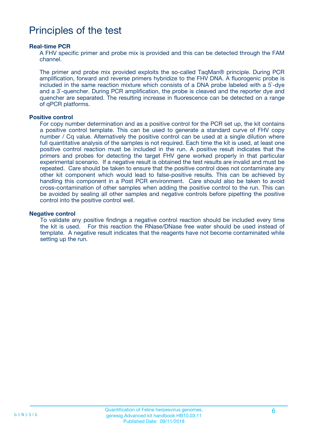### Principles of the test

#### **Real-time PCR**

A FHV specific primer and probe mix is provided and this can be detected through the FAM channel.

The primer and probe mix provided exploits the so-called TaqMan® principle. During PCR amplification, forward and reverse primers hybridize to the FHV DNA. A fluorogenic probe is included in the same reaction mixture which consists of a DNA probe labeled with a 5`-dye and a 3`-quencher. During PCR amplification, the probe is cleaved and the reporter dye and quencher are separated. The resulting increase in fluorescence can be detected on a range of qPCR platforms.

#### **Positive control**

For copy number determination and as a positive control for the PCR set up, the kit contains a positive control template. This can be used to generate a standard curve of FHV copy number / Cq value. Alternatively the positive control can be used at a single dilution where full quantitative analysis of the samples is not required. Each time the kit is used, at least one positive control reaction must be included in the run. A positive result indicates that the primers and probes for detecting the target FHV gene worked properly in that particular experimental scenario. If a negative result is obtained the test results are invalid and must be repeated. Care should be taken to ensure that the positive control does not contaminate any other kit component which would lead to false-positive results. This can be achieved by handling this component in a Post PCR environment. Care should also be taken to avoid cross-contamination of other samples when adding the positive control to the run. This can be avoided by sealing all other samples and negative controls before pipetting the positive control into the positive control well.

#### **Negative control**

To validate any positive findings a negative control reaction should be included every time the kit is used. For this reaction the RNase/DNase free water should be used instead of template. A negative result indicates that the reagents have not become contaminated while setting up the run.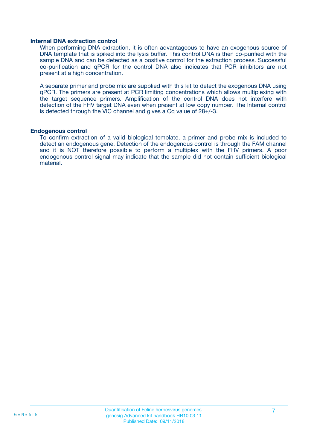#### **Internal DNA extraction control**

When performing DNA extraction, it is often advantageous to have an exogenous source of DNA template that is spiked into the lysis buffer. This control DNA is then co-purified with the sample DNA and can be detected as a positive control for the extraction process. Successful co-purification and qPCR for the control DNA also indicates that PCR inhibitors are not present at a high concentration.

A separate primer and probe mix are supplied with this kit to detect the exogenous DNA using qPCR. The primers are present at PCR limiting concentrations which allows multiplexing with the target sequence primers. Amplification of the control DNA does not interfere with detection of the FHV target DNA even when present at low copy number. The Internal control is detected through the VIC channel and gives a Cq value of 28+/-3.

#### **Endogenous control**

To confirm extraction of a valid biological template, a primer and probe mix is included to detect an endogenous gene. Detection of the endogenous control is through the FAM channel and it is NOT therefore possible to perform a multiplex with the FHV primers. A poor endogenous control signal may indicate that the sample did not contain sufficient biological material.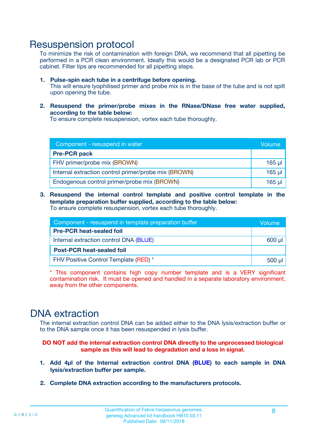### Resuspension protocol

To minimize the risk of contamination with foreign DNA, we recommend that all pipetting be performed in a PCR clean environment. Ideally this would be a designated PCR lab or PCR cabinet. Filter tips are recommended for all pipetting steps.

- **1. Pulse-spin each tube in a centrifuge before opening.** This will ensure lyophilised primer and probe mix is in the base of the tube and is not spilt upon opening the tube.
- **2. Resuspend the primer/probe mixes in the RNase/DNase free water supplied, according to the table below:**

To ensure complete resuspension, vortex each tube thoroughly.

| Component - resuspend in water                       |          |  |
|------------------------------------------------------|----------|--|
| <b>Pre-PCR pack</b>                                  |          |  |
| FHV primer/probe mix (BROWN)                         | $165$ µ  |  |
| Internal extraction control primer/probe mix (BROWN) | $165$ µl |  |
| Endogenous control primer/probe mix (BROWN)          | 165 µl   |  |

**3. Resuspend the internal control template and positive control template in the template preparation buffer supplied, according to the table below:** To ensure complete resuspension, vortex each tube thoroughly.

| Component - resuspend in template preparation buffer |          |  |  |
|------------------------------------------------------|----------|--|--|
| <b>Pre-PCR heat-sealed foil</b>                      |          |  |  |
| Internal extraction control DNA (BLUE)               |          |  |  |
| <b>Post-PCR heat-sealed foil</b>                     |          |  |  |
| FHV Positive Control Template (RED) *                | $500$ µl |  |  |

\* This component contains high copy number template and is a VERY significant contamination risk. It must be opened and handled in a separate laboratory environment, away from the other components.

### DNA extraction

The internal extraction control DNA can be added either to the DNA lysis/extraction buffer or to the DNA sample once it has been resuspended in lysis buffer.

**DO NOT add the internal extraction control DNA directly to the unprocessed biological sample as this will lead to degradation and a loss in signal.**

- **1. Add 4µl of the Internal extraction control DNA (BLUE) to each sample in DNA lysis/extraction buffer per sample.**
- **2. Complete DNA extraction according to the manufacturers protocols.**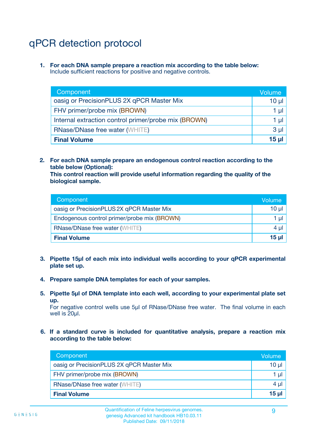# qPCR detection protocol

**1. For each DNA sample prepare a reaction mix according to the table below:** Include sufficient reactions for positive and negative controls.

| Component                                            | Volume   |
|------------------------------------------------------|----------|
| oasig or PrecisionPLUS 2X qPCR Master Mix            | $10 \mu$ |
| FHV primer/probe mix (BROWN)                         | 1 µI l   |
| Internal extraction control primer/probe mix (BROWN) | 1 µl     |
| <b>RNase/DNase free water (WHITE)</b>                | $3 \mu$  |
| <b>Final Volume</b>                                  | 15 µl    |

**2. For each DNA sample prepare an endogenous control reaction according to the table below (Optional):**

**This control reaction will provide useful information regarding the quality of the biological sample.**

| Component                                   | Volume   |
|---------------------------------------------|----------|
| oasig or PrecisionPLUS 2X qPCR Master Mix   | $10 \mu$ |
| Endogenous control primer/probe mix (BROWN) | 1 µI     |
| <b>RNase/DNase free water (WHITE)</b>       | $4 \mu$  |
| <b>Final Volume</b>                         | 15 µl    |

- **3. Pipette 15µl of each mix into individual wells according to your qPCR experimental plate set up.**
- **4. Prepare sample DNA templates for each of your samples.**
- **5. Pipette 5µl of DNA template into each well, according to your experimental plate set up.**

For negative control wells use 5µl of RNase/DNase free water. The final volume in each well is 20ul.

**6. If a standard curve is included for quantitative analysis, prepare a reaction mix according to the table below:**

| Component                                 | Volume |
|-------------------------------------------|--------|
| oasig or PrecisionPLUS 2X qPCR Master Mix | 10 ul  |
| FHV primer/probe mix (BROWN)              | 1 µI   |
| <b>RNase/DNase free water (WHITE)</b>     | 4 µl   |
| <b>Final Volume</b>                       | 15 µl  |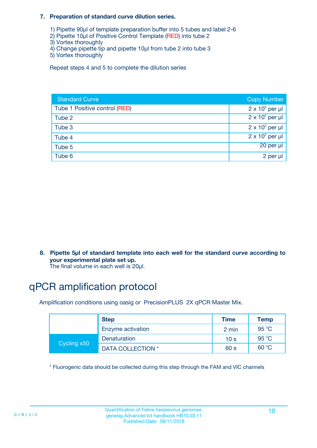#### **7. Preparation of standard curve dilution series.**

- 1) Pipette 90µl of template preparation buffer into 5 tubes and label 2-6
- 2) Pipette 10µl of Positive Control Template (RED) into tube 2
- 3) Vortex thoroughly
- 4) Change pipette tip and pipette 10µl from tube 2 into tube 3
- 5) Vortex thoroughly

Repeat steps 4 and 5 to complete the dilution series

| <b>Standard Curve</b>         | <b>Copy Number</b>     |
|-------------------------------|------------------------|
| Tube 1 Positive control (RED) | $2 \times 10^5$ per µl |
| Tube 2                        | $2 \times 10^4$ per µl |
| Tube 3                        | $2 \times 10^3$ per µl |
| Tube 4                        | $2 \times 10^2$ per µl |
| Tube 5                        | 20 per µl              |
| Tube 6                        | 2 per µl               |

**8. Pipette 5µl of standard template into each well for the standard curve according to your experimental plate set up.**

#### The final volume in each well is 20µl.

# qPCR amplification protocol

Amplification conditions using oasig or PrecisionPLUS 2X qPCR Master Mix.

|             | <b>Step</b>       | <b>Time</b>     | Temp    |
|-------------|-------------------|-----------------|---------|
|             | Enzyme activation | 2 min           | 95 °C   |
| Cycling x50 | Denaturation      | 10 <sub>s</sub> | 95 $°C$ |
|             | DATA COLLECTION * | 60 s            | 60 °C   |

\* Fluorogenic data should be collected during this step through the FAM and VIC channels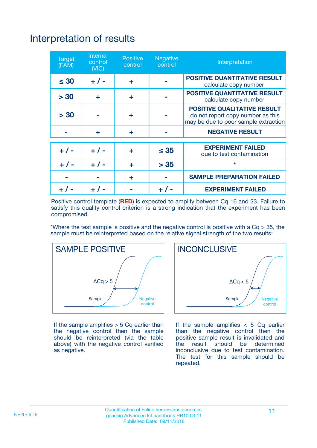# Interpretation of results

| <b>Target</b><br>(FAM) | <b>Internal</b><br>control<br>(NIC) | <b>Positive</b><br>control | <b>Negative</b><br>control | Interpretation                                                                                                  |
|------------------------|-------------------------------------|----------------------------|----------------------------|-----------------------------------------------------------------------------------------------------------------|
| $\leq 30$              | $+ 1 -$                             | ÷                          |                            | <b>POSITIVE QUANTITATIVE RESULT</b><br>calculate copy number                                                    |
| > 30                   | ٠                                   | ÷                          |                            | <b>POSITIVE QUANTITATIVE RESULT</b><br>calculate copy number                                                    |
| > 30                   |                                     | ÷                          |                            | <b>POSITIVE QUALITATIVE RESULT</b><br>do not report copy number as this<br>may be due to poor sample extraction |
|                        | ÷                                   | ÷                          |                            | <b>NEGATIVE RESULT</b>                                                                                          |
| $+ 1 -$                | $+ 1 -$                             | ÷                          | $\leq$ 35                  | <b>EXPERIMENT FAILED</b><br>due to test contamination                                                           |
| $+$ / -                | $+ 1 -$                             | ÷                          | > 35                       | $\star$                                                                                                         |
|                        |                                     | ÷                          |                            | <b>SAMPLE PREPARATION FAILED</b>                                                                                |
|                        |                                     |                            | $+$ /                      | <b>EXPERIMENT FAILED</b>                                                                                        |

Positive control template (**RED**) is expected to amplify between Cq 16 and 23. Failure to satisfy this quality control criterion is a strong indication that the experiment has been compromised.

\*Where the test sample is positive and the negative control is positive with a  $Ca > 35$ , the sample must be reinterpreted based on the relative signal strength of the two results:



If the sample amplifies  $> 5$  Cq earlier than the negative control then the sample should be reinterpreted (via the table above) with the negative control verified as negative.



If the sample amplifies  $< 5$  Cq earlier than the negative control then the positive sample result is invalidated and<br>the result should be determined  $the$  result should be inconclusive due to test contamination. The test for this sample should be repeated.